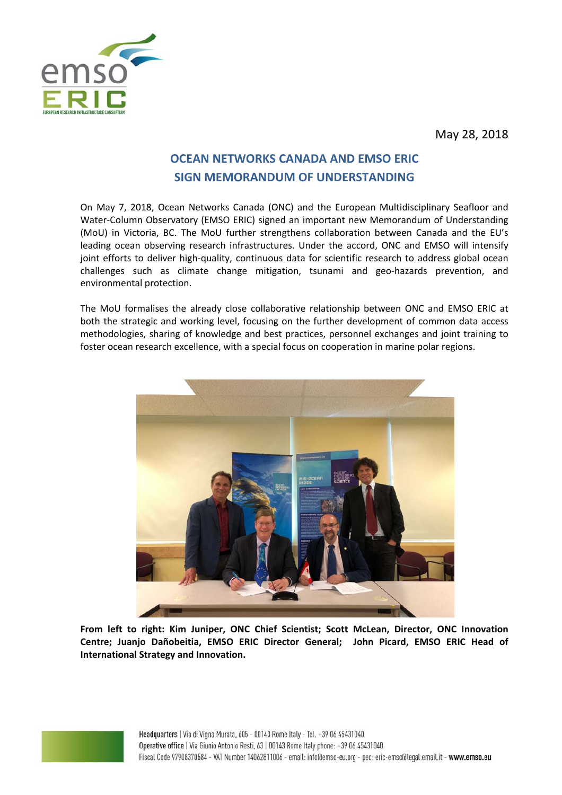

May 28, 2018

# **OCEAN NETWORKS CANADA AND EMSO ERIC SIGN MEMORANDUM OF UNDERSTANDING**

On May 7, 2018, Ocean Networks Canada (ONC) and the European Multidisciplinary Seafloor and Water‐Column Observatory (EMSO ERIC) signed an important new Memorandum of Understanding (MoU) in Victoria, BC. The MoU further strengthens collaboration between Canada and the EU's leading ocean observing research infrastructures. Under the accord, ONC and EMSO will intensify joint efforts to deliver high-quality, continuous data for scientific research to address global ocean challenges such as climate change mitigation, tsunami and geo-hazards prevention, and environmental protection.

The MoU formalises the already close collaborative relationship between ONC and EMSO ERIC at both the strategic and working level, focusing on the further development of common data access methodologies, sharing of knowledge and best practices, personnel exchanges and joint training to foster ocean research excellence, with a special focus on cooperation in marine polar regions.



**From left to right: Kim Juniper, ONC Chief Scientist; Scott McLean, Director, ONC Innovation Centre; Juanjo Dañobeitia, EMSO ERIC Director General; John Picard, EMSO ERIC Head of International Strategy and Innovation.**